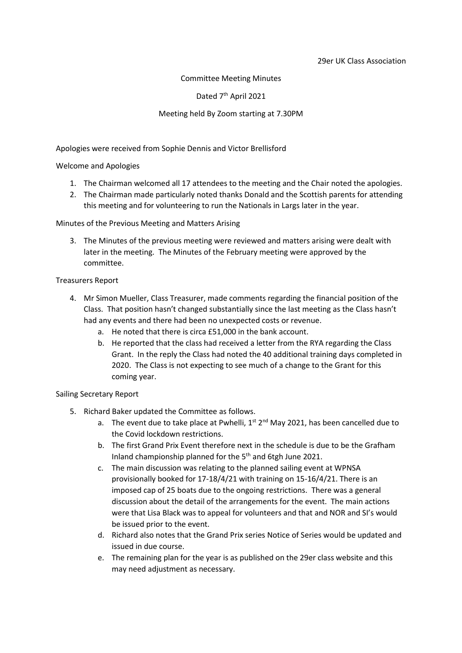### Committee Meeting Minutes

Dated 7<sup>th</sup> April 2021

## Meeting held By Zoom starting at 7.30PM

Apologies were received from Sophie Dennis and Victor Brellisford

Welcome and Apologies

- 1. The Chairman welcomed all 17 attendees to the meeting and the Chair noted the apologies.
- 2. The Chairman made particularly noted thanks Donald and the Scottish parents for attending this meeting and for volunteering to run the Nationals in Largs later in the year.

### Minutes of the Previous Meeting and Matters Arising

3. The Minutes of the previous meeting were reviewed and matters arising were dealt with later in the meeting. The Minutes of the February meeting were approved by the committee.

### Treasurers Report

- 4. Mr Simon Mueller, Class Treasurer, made comments regarding the financial position of the Class. That position hasn't changed substantially since the last meeting as the Class hasn't had any events and there had been no unexpected costs or revenue.
	- a. He noted that there is circa £51,000 in the bank account.
	- b. He reported that the class had received a letter from the RYA regarding the Class Grant. In the reply the Class had noted the 40 additional training days completed in 2020. The Class is not expecting to see much of a change to the Grant for this coming year.

### Sailing Secretary Report

- 5. Richard Baker updated the Committee as follows.
	- a. The event due to take place at Pwhelli,  $1^{st}$   $2^{nd}$  May 2021, has been cancelled due to the Covid lockdown restrictions.
	- b. The first Grand Prix Event therefore next in the schedule is due to be the Grafham Inland championship planned for the  $5<sup>th</sup>$  and 6tgh June 2021.
	- c. The main discussion was relating to the planned sailing event at WPNSA provisionally booked for 17-18/4/21 with training on 15-16/4/21. There is an imposed cap of 25 boats due to the ongoing restrictions. There was a general discussion about the detail of the arrangements for the event. The main actions were that Lisa Black was to appeal for volunteers and that and NOR and SI's would be issued prior to the event.
	- d. Richard also notes that the Grand Prix series Notice of Series would be updated and issued in due course.
	- e. The remaining plan for the year is as published on the 29er class website and this may need adjustment as necessary.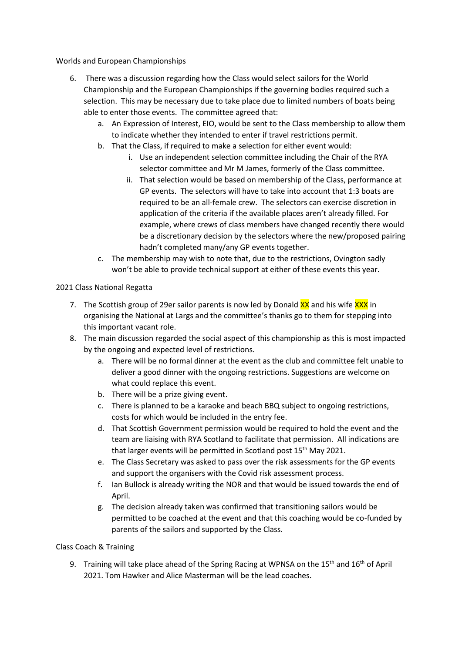Worlds and European Championships

- 6. There was a discussion regarding how the Class would select sailors for the World Championship and the European Championships if the governing bodies required such a selection. This may be necessary due to take place due to limited numbers of boats being able to enter those events. The committee agreed that:
	- a. An Expression of Interest, EIO, would be sent to the Class membership to allow them to indicate whether they intended to enter if travel restrictions permit.
	- b. That the Class, if required to make a selection for either event would:
		- i. Use an independent selection committee including the Chair of the RYA selector committee and Mr M James, formerly of the Class committee.
		- ii. That selection would be based on membership of the Class, performance at GP events. The selectors will have to take into account that 1:3 boats are required to be an all-female crew. The selectors can exercise discretion in application of the criteria if the available places aren't already filled. For example, where crews of class members have changed recently there would be a discretionary decision by the selectors where the new/proposed pairing hadn't completed many/any GP events together.
	- c. The membership may wish to note that, due to the restrictions, Ovington sadly won't be able to provide technical support at either of these events this year.

# 2021 Class National Regatta

- 7. The Scottish group of 29er sailor parents is now led by Donald XX and his wife XXX in organising the National at Largs and the committee's thanks go to them for stepping into this important vacant role.
- 8. The main discussion regarded the social aspect of this championship as this is most impacted by the ongoing and expected level of restrictions.
	- a. There will be no formal dinner at the event as the club and committee felt unable to deliver a good dinner with the ongoing restrictions. Suggestions are welcome on what could replace this event.
	- b. There will be a prize giving event.
	- c. There is planned to be a karaoke and beach BBQ subject to ongoing restrictions, costs for which would be included in the entry fee.
	- d. That Scottish Government permission would be required to hold the event and the team are liaising with RYA Scotland to facilitate that permission. All indications are that larger events will be permitted in Scotland post  $15<sup>th</sup>$  May 2021.
	- e. The Class Secretary was asked to pass over the risk assessments for the GP events and support the organisers with the Covid risk assessment process.
	- f. Ian Bullock is already writing the NOR and that would be issued towards the end of April.
	- g. The decision already taken was confirmed that transitioning sailors would be permitted to be coached at the event and that this coaching would be co-funded by parents of the sailors and supported by the Class.

# Class Coach & Training

9. Training will take place ahead of the Spring Racing at WPNSA on the 15<sup>th</sup> and 16<sup>th</sup> of April 2021. Tom Hawker and Alice Masterman will be the lead coaches.